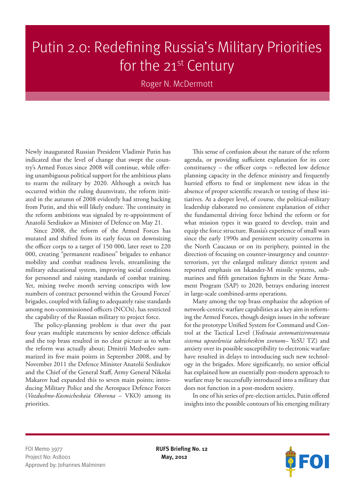## Putin 2.0: Redefining Russia's Military Priorities for the  $21^{st}$  Century

Roger N. McDermott

Newly inaugurated Russian President Vladimir Putin has indicated that the level of change that swept the country's Armed Forces since 2008 will continue, while offering unambiguous political support for the ambitious plans to rearm the military by 2020. Although a switch has occurred within the ruling duumvirate, the reform initiated in the autumn of 2008 evidently had strong backing from Putin, and this will likely endure. The continuity in the reform ambitions was signaled by re-appointment of Anatolii Serdiukov as Minister of Defence on May 21.

Since 2008, the reform of the Armed Forces has mutated and shifted from its early focus on downsizing the officer corps to a target of 150 000, later reset to 220 000, creating "permanent readiness" brigades to enhance mobility and combat readiness levels, streamlining the military educational system, improving social conditions for personnel and raising standards of combat training. Yet, mixing twelve month serving conscripts with low numbers of contract personnel within the Ground Forces' brigades, coupled with failing to adequately raise standards among non-commissioned officers (NCOs), has restricted the capability of the Russian military to project force.

The policy-planning problem is that over the past four years multiple statements by senior defence officials and the top brass resulted in no clear picture as to what the reform was actually about; Dmitrii Medvedev summarized its five main points in September 2008, and by November 2011 the Defence Minister Anatolii Serdiukov and the Chief of the General Staff, Army General Nikolai Makarov had expanded this to seven main points; introducing Military Police and the Aerospace Defence Forces (*Vozdushno-Kosmicheskaia Oborona* – VKO) among its priorities.

This sense of confusion about the nature of the reform agenda, or providing sufficient explanation for its core constituency – the officer corps – reflected low defence planning capacity in the defence ministry and frequently hurried efforts to find or implement new ideas in the absence of proper scientific research or testing of these initiatives. At a deeper level, of course, the political-military leadership elaborated no consistent explanation of either the fundamental driving force behind the reform or for what mission types it was geared to develop, train and equip the force structure. Russia's experience of small wars since the early 1990s and persistent security concerns in the North Caucasus or on its periphery, pointed in the direction of focusing on counter-insurgency and counterterrorism, yet the enlarged military district system and reported emphasis on Iskander-M missile systems, submarines and fifth generation fighters in the State Armament Program (SAP) to 2020, betrays enduring interest in large-scale combined-arms operations.

Many among the top brass emphasize the adoption of network-centric warfare capabilities as a key aim in reforming the Armed Forces, though design issues in the software for the prototype Unified System for Command and Control at the Tactical Level (*Yedinaia avtomatizirovannaia sistema upravleniia takticheskim zvenom*– YeSU TZ) and anxiety over its possible susceptibility to electronic warfare have resulted in delays to introducing such new technology in the brigades. More significantly, no senior official has explained how an essentially post-modern approach to warfare may be successfully introduced into a military that does not function in a post-modern society.

In one of his series of pre-election articles, Putin offered insights into the possible contours of his emerging military

FOI Memo 3977 **RUFS Briefing No. 12** Project No: A18001 **May, 2012** Approved by: Johannes Malminen